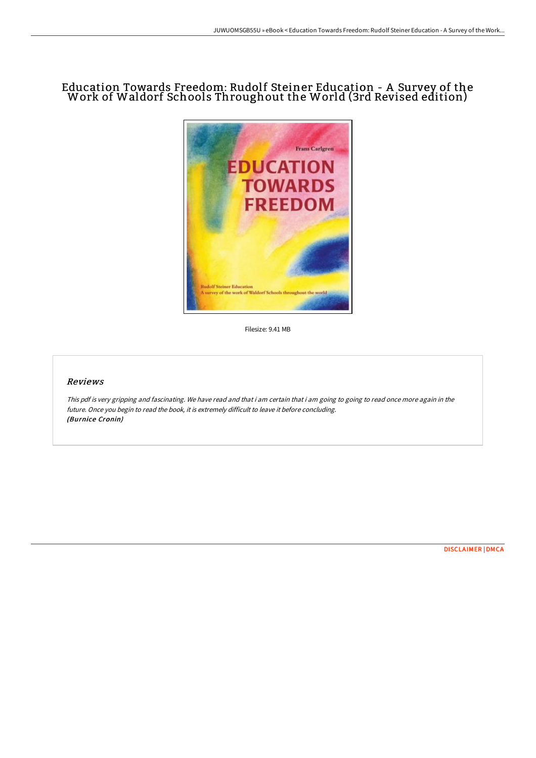# Education Towards Freedom: Rudolf Steiner Education - A Survey of the Work of Waldorf Schools Throughout the World (3rd Revised edition)



Filesize: 9.41 MB

# Reviews

This pdf is very gripping and fascinating. We have read and that i am certain that i am going to going to read once more again in the future. Once you begin to read the book, it is extremely difficult to leave it before concluding. (Burnice Cronin)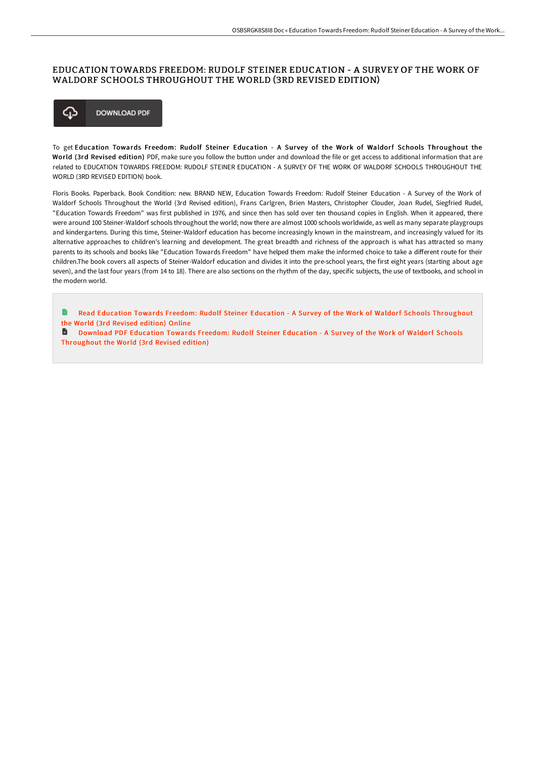### EDUCATION TOWARDS FREEDOM: RUDOLF STEINER EDUCATION - A SURVEY OF THE WORK OF WALDORF SCHOOLS THROUGHOUT THE WORLD (3RD REVISED EDITION)



To get Education Towards Freedom: Rudolf Steiner Education - A Survey of the Work of Waldorf Schools Throughout the World (3rd Revised edition) PDF, make sure you follow the button under and download the file or get access to additional information that are related to EDUCATION TOWARDS FREEDOM: RUDOLF STEINER EDUCATION - A SURVEY OF THE WORK OF WALDORF SCHOOLS THROUGHOUT THE WORLD (3RD REVISED EDITION) book.

Floris Books. Paperback. Book Condition: new. BRAND NEW, Education Towards Freedom: Rudolf Steiner Education - A Survey of the Work of Waldorf Schools Throughout the World (3rd Revised edition), Frans Carlgren, Brien Masters, Christopher Clouder, Joan Rudel, Siegfried Rudel, "Education Towards Freedom" was first published in 1976, and since then has sold over ten thousand copies in English. When it appeared, there were around 100 Steiner-Waldorf schools throughout the world; now there are almost 1000 schools worldwide, as well as many separate playgroups and kindergartens. During this time, Steiner-Waldorf education has become increasingly known in the mainstream, and increasingly valued for its alternative approaches to children's learning and development. The great breadth and richness of the approach is what has attracted so many parents to its schools and books like "Education Towards Freedom" have helped them make the informed choice to take a different route for their children.The book covers all aspects of Steiner-Waldorf education and divides it into the pre-school years, the first eight years (starting about age seven), and the last four years (from 14 to 18). There are also sections on the rhythm of the day, specific subjects, the use of textbooks, and school in the modern world.

h Read Education Towards Freedom: Rudolf Steiner Education - A Survey of the Work of Waldorf Schools [Throughout](http://techno-pub.tech/education-towards-freedom-rudolf-steiner-educati.html) the World (3rd Revised edition) Online

**D** Download PDF Education Towards Freedom: Rudolf Steiner Education - A Survey of the Work of Waldorf Schools [Throughout](http://techno-pub.tech/education-towards-freedom-rudolf-steiner-educati.html) the World (3rd Revised edition)